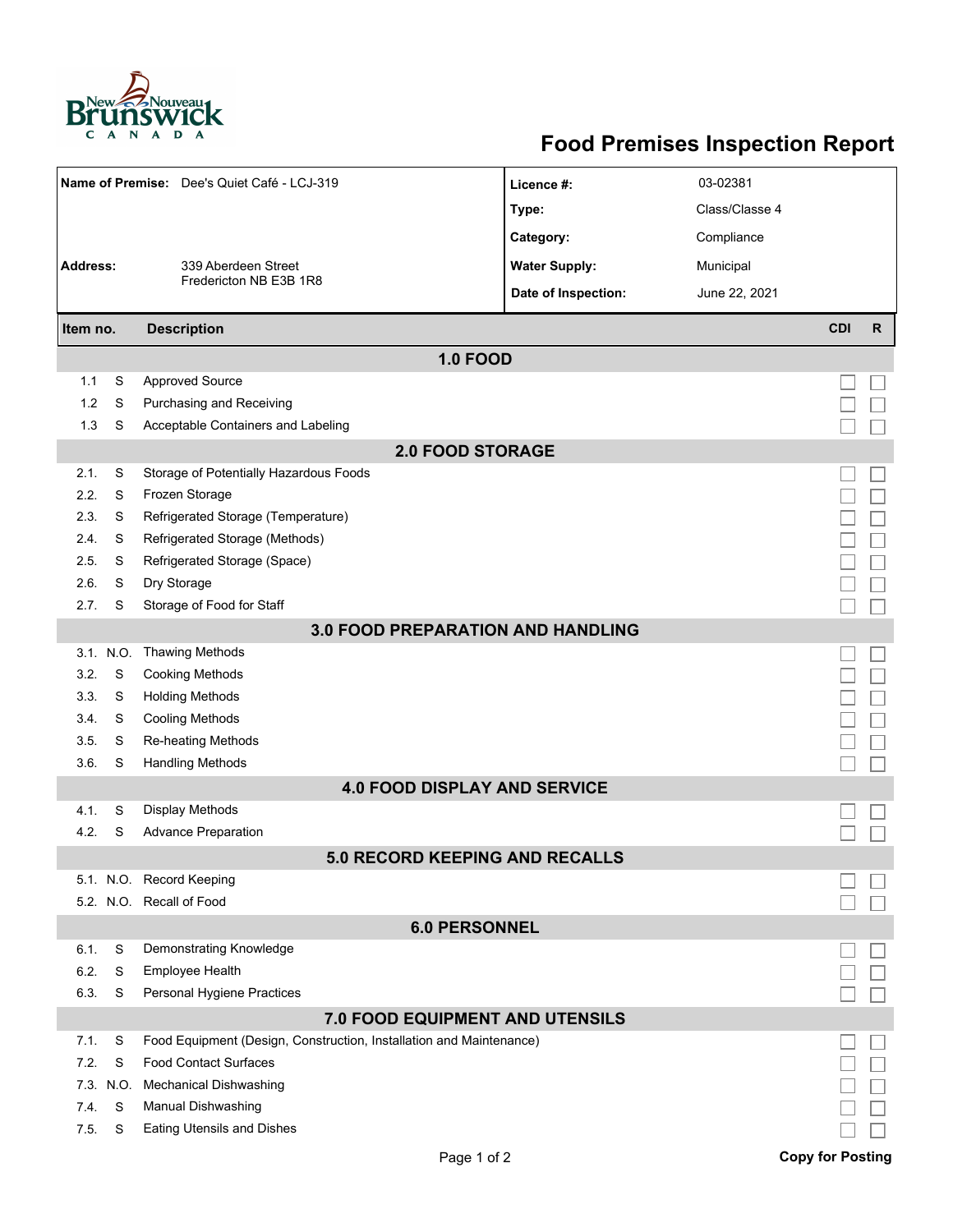

## **Food Premises Inspection Report**

|                                   |                      | Name of Premise: Dee's Quiet Café - LCJ-319                         | Licence #:           | 03-02381       |                         |              |  |  |  |
|-----------------------------------|----------------------|---------------------------------------------------------------------|----------------------|----------------|-------------------------|--------------|--|--|--|
|                                   |                      |                                                                     | Type:                | Class/Classe 4 |                         |              |  |  |  |
|                                   |                      |                                                                     | Category:            | Compliance     |                         |              |  |  |  |
| <b>Address:</b>                   |                      | 339 Aberdeen Street                                                 | <b>Water Supply:</b> | Municipal      |                         |              |  |  |  |
|                                   |                      | Fredericton NB E3B 1R8                                              | Date of Inspection:  | June 22, 2021  |                         |              |  |  |  |
| Item no.                          |                      | <b>Description</b>                                                  |                      |                | <b>CDI</b>              | $\mathsf{R}$ |  |  |  |
| <b>1.0 FOOD</b>                   |                      |                                                                     |                      |                |                         |              |  |  |  |
| 1.1                               | S                    | <b>Approved Source</b>                                              |                      |                |                         |              |  |  |  |
| 1.2                               | S                    | Purchasing and Receiving                                            |                      |                |                         |              |  |  |  |
| 1.3                               | S                    | Acceptable Containers and Labeling                                  |                      |                |                         |              |  |  |  |
| <b>2.0 FOOD STORAGE</b>           |                      |                                                                     |                      |                |                         |              |  |  |  |
| 2.1.                              | S                    | Storage of Potentially Hazardous Foods                              |                      |                |                         |              |  |  |  |
| 2.2.                              | S                    | Frozen Storage                                                      |                      |                |                         |              |  |  |  |
| 2.3.                              | S                    | Refrigerated Storage (Temperature)                                  |                      |                |                         |              |  |  |  |
| 2.4.                              | S                    | Refrigerated Storage (Methods)                                      |                      |                |                         |              |  |  |  |
| 2.5.                              | S                    | Refrigerated Storage (Space)                                        |                      |                |                         |              |  |  |  |
| 2.6.                              | S                    | Dry Storage                                                         |                      |                |                         |              |  |  |  |
| 2.7.                              | S                    | Storage of Food for Staff                                           |                      |                |                         |              |  |  |  |
| 3.0 FOOD PREPARATION AND HANDLING |                      |                                                                     |                      |                |                         |              |  |  |  |
|                                   | 3.1. N.O.            | <b>Thawing Methods</b>                                              |                      |                |                         |              |  |  |  |
| 3.2.                              | S                    | <b>Cooking Methods</b>                                              |                      |                |                         |              |  |  |  |
| 3.3.                              | S                    | <b>Holding Methods</b>                                              |                      |                |                         |              |  |  |  |
| 3.4.                              | S                    | <b>Cooling Methods</b>                                              |                      |                |                         |              |  |  |  |
| 3.5.                              | S                    | Re-heating Methods                                                  |                      |                |                         |              |  |  |  |
| 3.6.                              | S                    | <b>Handling Methods</b><br><b>4.0 FOOD DISPLAY AND SERVICE</b>      |                      |                |                         |              |  |  |  |
| 4.1.                              | S                    | <b>Display Methods</b>                                              |                      |                |                         |              |  |  |  |
| 4.2.                              | S                    | <b>Advance Preparation</b>                                          |                      |                |                         |              |  |  |  |
|                                   |                      | <b>5.0 RECORD KEEPING AND RECALLS</b>                               |                      |                |                         |              |  |  |  |
|                                   |                      | 5.1. N.O. Record Keeping                                            |                      |                |                         |              |  |  |  |
|                                   |                      | 5.2. N.O. Recall of Food                                            |                      |                |                         |              |  |  |  |
|                                   | <b>6.0 PERSONNEL</b> |                                                                     |                      |                |                         |              |  |  |  |
| 6.1.                              | S                    | Demonstrating Knowledge                                             |                      |                |                         |              |  |  |  |
| 6.2.                              | S                    | Employee Health                                                     |                      |                |                         |              |  |  |  |
| 6.3.                              | S                    | Personal Hygiene Practices                                          |                      |                |                         |              |  |  |  |
|                                   |                      | 7.0 FOOD EQUIPMENT AND UTENSILS                                     |                      |                |                         |              |  |  |  |
| 7.1.                              | S                    | Food Equipment (Design, Construction, Installation and Maintenance) |                      |                |                         |              |  |  |  |
| 7.2.                              | S                    | <b>Food Contact Surfaces</b>                                        |                      |                |                         |              |  |  |  |
| 7.3.                              | N.O.                 | <b>Mechanical Dishwashing</b>                                       |                      |                |                         |              |  |  |  |
| 7.4.                              | S                    | Manual Dishwashing                                                  |                      |                |                         |              |  |  |  |
| 7.5.                              | S                    | <b>Eating Utensils and Dishes</b>                                   |                      |                |                         |              |  |  |  |
|                                   |                      | Page 1 of 2                                                         |                      |                | <b>Copy for Posting</b> |              |  |  |  |